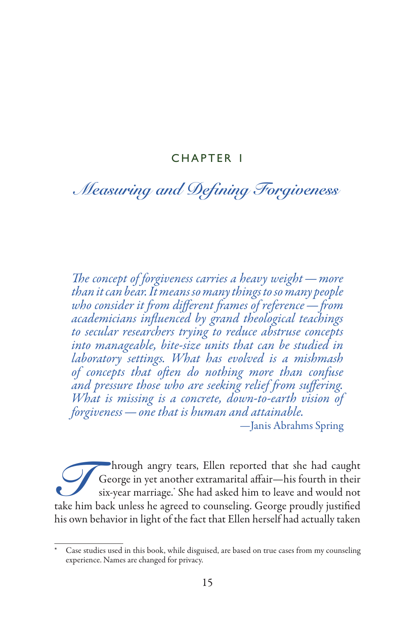# CHAPTER 1

# *Measuring and Defining Forgiveness*

*The concept of forgiveness carries a heavy weight—more than it can bear. It means so many things to so many people who consider it from different frames of reference—from academicians influenced by grand theological teachings to secular researchers trying to reduce abstruse concepts into manageable, bite-size units that can be studied in laboratory settings. What has evolved is a mishmash of concepts that often do nothing more than confuse and pressure those who are seeking relief from suffering. What is missing is a concrete, down-to-earth vision of forgiveness—one that is human and attainable. —*Janis Abrahms Spring

Through angry tears, Ellen reported that she had caught<br>George in yet another extramarital affair—his fourth in their<br>six-year marriage. She had asked him to leave and would not<br>take him back unless he agreed to counseling George in yet another extramarital affair—his fourth in their six-year marriage.\* She had asked him to leave and would not take him back unless he agreed to counseling. George proudly justified his own behavior in light of the fact that Ellen herself had actually taken

Case studies used in this book, while disguised, are based on true cases from my counseling experience. Names are changed for privacy.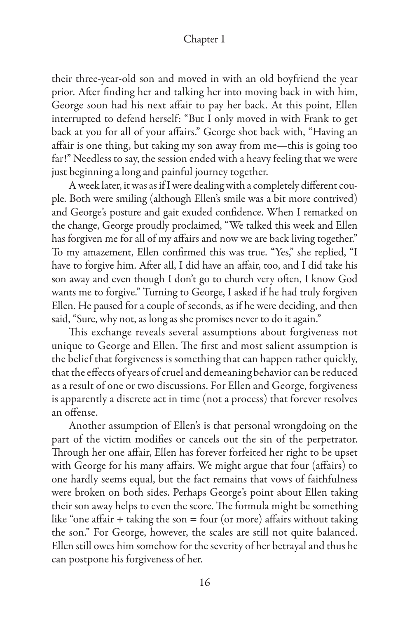their three-year-old son and moved in with an old boyfriend the year prior. After finding her and talking her into moving back in with him, George soon had his next affair to pay her back. At this point, Ellen interrupted to defend herself: "But I only moved in with Frank to get back at you for all of your affairs." George shot back with, "Having an affair is one thing, but taking my son away from me—this is going too far!" Needless to say, the session ended with a heavy feeling that we were just beginning a long and painful journey together.

A week later, it was as if I were dealing with a completely different couple. Both were smiling (although Ellen's smile was a bit more contrived) and George's posture and gait exuded confidence. When I remarked on the change, George proudly proclaimed, "We talked this week and Ellen has forgiven me for all of my affairs and now we are back living together." To my amazement, Ellen confirmed this was true. "Yes," she replied, "I have to forgive him. After all, I did have an affair, too, and I did take his son away and even though I don't go to church very often, I know God wants me to forgive." Turning to George, I asked if he had truly forgiven Ellen. He paused for a couple of seconds, as if he were deciding, and then said, "Sure, why not, as long as she promises never to do it again."

This exchange reveals several assumptions about forgiveness not unique to George and Ellen. The first and most salient assumption is the belief that forgiveness is something that can happen rather quickly, that the effects of years of cruel and demeaning behavior can be reduced as a result of one or two discussions. For Ellen and George, forgiveness is apparently a discrete act in time (not a process) that forever resolves an offense.

Another assumption of Ellen's is that personal wrongdoing on the part of the victim modifies or cancels out the sin of the perpetrator. Through her one affair, Ellen has forever forfeited her right to be upset with George for his many affairs. We might argue that four (affairs) to one hardly seems equal, but the fact remains that vows of faithfulness were broken on both sides. Perhaps George's point about Ellen taking their son away helps to even the score. The formula might be something like "one affair  $+$  taking the son  $=$  four (or more) affairs without taking the son." For George, however, the scales are still not quite balanced. Ellen still owes him somehow for the severity of her betrayal and thus he can postpone his forgiveness of her.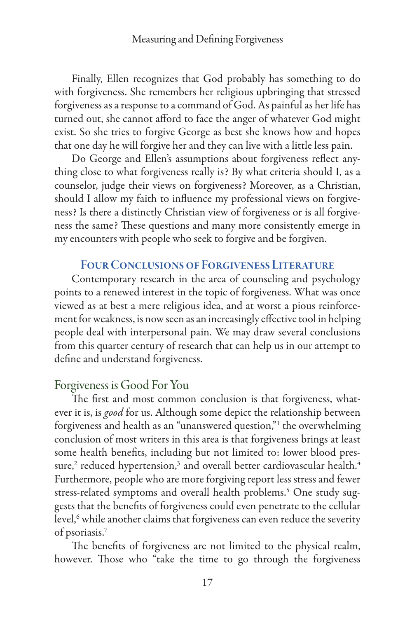Finally, Ellen recognizes that God probably has something to do with forgiveness. She remembers her religious upbringing that stressed forgiveness as a response to a command of God. As painful as her life has turned out, she cannot afford to face the anger of whatever God might exist. So she tries to forgive George as best she knows how and hopes that one day he will forgive her and they can live with a little less pain.

Do George and Ellen's assumptions about forgiveness reflect anything close to what forgiveness really is? By what criteria should I, as a counselor, judge their views on forgiveness? Moreover, as a Christian, should I allow my faith to influence my professional views on forgiveness? Is there a distinctly Christian view of forgiveness or is all forgiveness the same? These questions and many more consistently emerge in my encounters with people who seek to forgive and be forgiven.

## Four Conclusions of Forgiveness Literature

Contemporary research in the area of counseling and psychology points to a renewed interest in the topic of forgiveness. What was once viewed as at best a mere religious idea, and at worst a pious reinforcement for weakness, is now seen as an increasingly effective tool in helping people deal with interpersonal pain. We may draw several conclusions from this quarter century of research that can help us in our attempt to define and understand forgiveness.

# Forgiveness is Good For You

The first and most common conclusion is that forgiveness, whatever it is, is *good* for us. Although some depict the relationship between forgiveness and health as an "unanswered question,"1 the overwhelming conclusion of most writers in this area is that forgiveness brings at least some health benefits, including but not limited to: lower blood pressure, $^{\rm 2}$  reduced hypertension, $^{\rm 3}$  and overall better cardiovascular health. $^{\rm 4}$ Furthermore, people who are more forgiving report less stress and fewer stress-related symptoms and overall health problems.<sup>5</sup> One study suggests that the benefits of forgiveness could even penetrate to the cellular level,<sup>6</sup> while another claims that forgiveness can even reduce the severity of psoriasis.7

The benefits of forgiveness are not limited to the physical realm, however. Those who "take the time to go through the forgiveness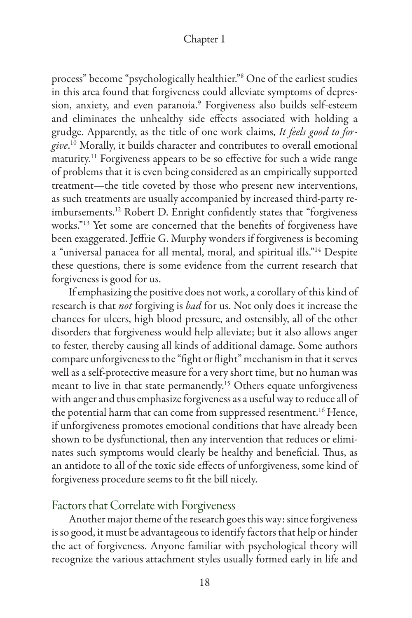process" become "psychologically healthier."8 One of the earliest studies in this area found that forgiveness could alleviate symptoms of depression, anxiety, and even paranoia.9 Forgiveness also builds self-esteem and eliminates the unhealthy side effects associated with holding a grudge. Apparently, as the title of one work claims, *It feels good to forgive*. 10 Morally, it builds character and contributes to overall emotional maturity.<sup>11</sup> Forgiveness appears to be so effective for such a wide range of problems that it is even being considered as an empirically supported treatment—the title coveted by those who present new interventions, as such treatments are usually accompanied by increased third-party reimbursements.12 Robert D. Enright confidently states that "forgiveness works."13 Yet some are concerned that the benefits of forgiveness have been exaggerated. Jeffrie G. Murphy wonders if forgiveness is becoming a "universal panacea for all mental, moral, and spiritual ills."14 Despite these questions, there is some evidence from the current research that forgiveness is good for us.

If emphasizing the positive does not work, a corollary of this kind of research is that *not* forgiving is *bad* for us. Not only does it increase the chances for ulcers, high blood pressure, and ostensibly, all of the other disorders that forgiveness would help alleviate; but it also allows anger to fester, thereby causing all kinds of additional damage. Some authors compare unforgiveness to the "fight or flight" mechanism in that it serves well as a self-protective measure for a very short time, but no human was meant to live in that state permanently.<sup>15</sup> Others equate unforgiveness with anger and thus emphasize forgiveness as a useful way to reduce all of the potential harm that can come from suppressed resentment.<sup>16</sup> Hence, if unforgiveness promotes emotional conditions that have already been shown to be dysfunctional, then any intervention that reduces or eliminates such symptoms would clearly be healthy and beneficial. Thus, as an antidote to all of the toxic side effects of unforgiveness, some kind of forgiveness procedure seems to fit the bill nicely.

# Factors that Correlate with Forgiveness

Another major theme of the research goes this way: since forgiveness is so good, it must be advantageous to identify factors that help or hinder the act of forgiveness. Anyone familiar with psychological theory will recognize the various attachment styles usually formed early in life and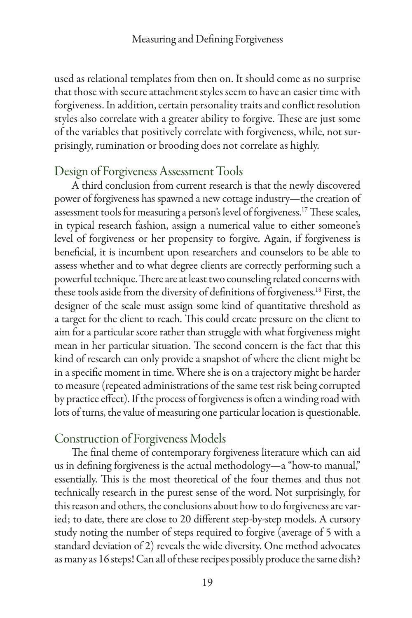used as relational templates from then on. It should come as no surprise that those with secure attachment styles seem to have an easier time with forgiveness. In addition, certain personality traits and conflict resolution styles also correlate with a greater ability to forgive. These are just some of the variables that positively correlate with forgiveness, while, not surprisingly, rumination or brooding does not correlate as highly.

# Design of Forgiveness Assessment Tools

A third conclusion from current research is that the newly discovered power of forgiveness has spawned a new cottage industry—the creation of assessment tools for measuring a person's level of forgiveness.17 These scales, in typical research fashion, assign a numerical value to either someone's level of forgiveness or her propensity to forgive. Again, if forgiveness is beneficial, it is incumbent upon researchers and counselors to be able to assess whether and to what degree clients are correctly performing such a powerful technique. There are at least two counseling related concerns with these tools aside from the diversity of definitions of forgiveness.18 First, the designer of the scale must assign some kind of quantitative threshold as a target for the client to reach. This could create pressure on the client to aim for a particular score rather than struggle with what forgiveness might mean in her particular situation. The second concern is the fact that this kind of research can only provide a snapshot of where the client might be in a specific moment in time. Where she is on a trajectory might be harder to measure (repeated administrations of the same test risk being corrupted by practice effect). If the process of forgiveness is often a winding road with lots of turns, the value of measuring one particular location is questionable.

# Construction of Forgiveness Models

The final theme of contemporary forgiveness literature which can aid us in defining forgiveness is the actual methodology—a "how-to manual," essentially. This is the most theoretical of the four themes and thus not technically research in the purest sense of the word. Not surprisingly, for this reason and others, the conclusions about how to do forgiveness are varied; to date, there are close to 20 different step-by-step models. A cursory study noting the number of steps required to forgive (average of 5 with a standard deviation of 2) reveals the wide diversity. One method advocates as many as 16 steps! Can all of these recipes possibly produce the same dish?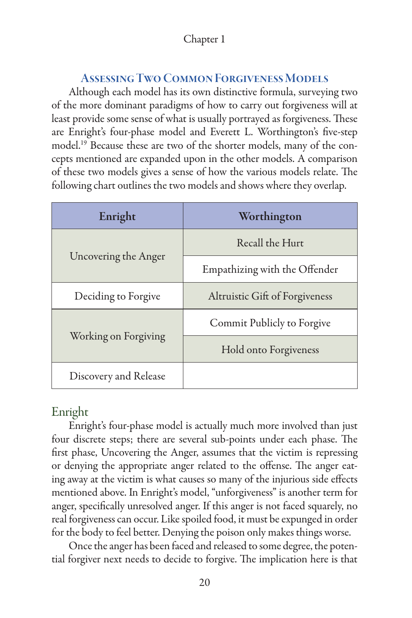# Assessing Two Common Forgiveness Models

Although each model has its own distinctive formula, surveying two of the more dominant paradigms of how to carry out forgiveness will at least provide some sense of what is usually portrayed as forgiveness. These are Enright's four-phase model and Everett L. Worthington's five-step model.19 Because these are two of the shorter models, many of the concepts mentioned are expanded upon in the other models. A comparison of these two models gives a sense of how the various models relate. The following chart outlines the two models and shows where they overlap.

| Enright               | Worthington                    |
|-----------------------|--------------------------------|
| Uncovering the Anger  | Recall the Hurt                |
|                       | Empathizing with the Offender  |
| Deciding to Forgive   | Altruistic Gift of Forgiveness |
| Working on Forgiving  | Commit Publicly to Forgive     |
|                       | Hold onto Forgiveness          |
| Discovery and Release |                                |

# Enright

Enright's four-phase model is actually much more involved than just four discrete steps; there are several sub-points under each phase. The first phase, Uncovering the Anger, assumes that the victim is repressing or denying the appropriate anger related to the offense. The anger eating away at the victim is what causes so many of the injurious side effects mentioned above. In Enright's model, "unforgiveness" is another term for anger, specifically unresolved anger. If this anger is not faced squarely, no real forgiveness can occur. Like spoiled food, it must be expunged in order for the body to feel better. Denying the poison only makes things worse.

Once the anger has been faced and released to some degree, the potential forgiver next needs to decide to forgive. The implication here is that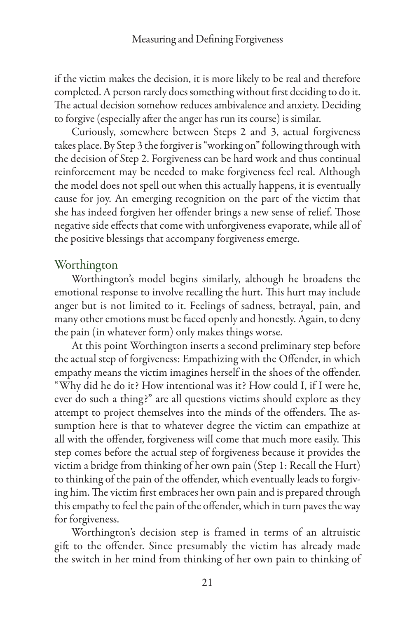if the victim makes the decision, it is more likely to be real and therefore completed. A person rarely does something without first deciding to do it. The actual decision somehow reduces ambivalence and anxiety. Deciding to forgive (especially after the anger has run its course) is similar.

Curiously, somewhere between Steps 2 and 3, actual forgiveness takes place. By Step 3 the forgiver is "working on" following through with the decision of Step 2. Forgiveness can be hard work and thus continual reinforcement may be needed to make forgiveness feel real. Although the model does not spell out when this actually happens, it is eventually cause for joy. An emerging recognition on the part of the victim that she has indeed forgiven her offender brings a new sense of relief. Those negative side effects that come with unforgiveness evaporate, while all of the positive blessings that accompany forgiveness emerge.

# **Worthington**

Worthington's model begins similarly, although he broadens the emotional response to involve recalling the hurt. This hurt may include anger but is not limited to it. Feelings of sadness, betrayal, pain, and many other emotions must be faced openly and honestly. Again, to deny the pain (in whatever form) only makes things worse.

At this point Worthington inserts a second preliminary step before the actual step of forgiveness: Empathizing with the Offender, in which empathy means the victim imagines herself in the shoes of the offender. "Why did he do it? How intentional was it? How could I, if I were he, ever do such a thing?" are all questions victims should explore as they attempt to project themselves into the minds of the offenders. The assumption here is that to whatever degree the victim can empathize at all with the offender, forgiveness will come that much more easily. This step comes before the actual step of forgiveness because it provides the victim a bridge from thinking of her own pain (Step 1: Recall the Hurt) to thinking of the pain of the offender, which eventually leads to forgiving him. The victim first embraces her own pain and is prepared through this empathy to feel the pain of the offender, which in turn paves the way for forgiveness.

Worthington's decision step is framed in terms of an altruistic gift to the offender. Since presumably the victim has already made the switch in her mind from thinking of her own pain to thinking of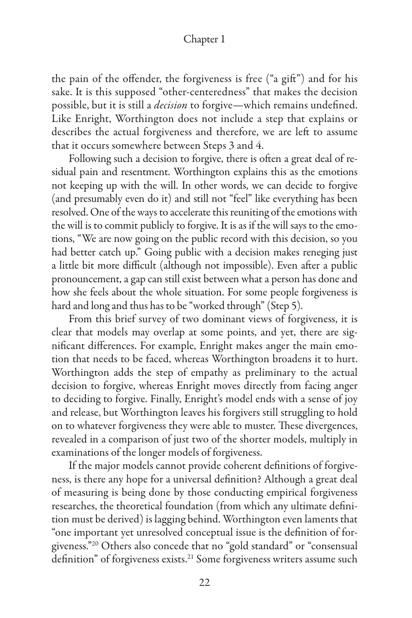the pain of the offender, the forgiveness is free ("a gift") and for his sake. It is this supposed "other-centeredness" that makes the decision possible, but it is still a *decision* to forgive—which remains undefined. Like Enright, Worthington does not include a step that explains or describes the actual forgiveness and therefore, we are left to assume that it occurs somewhere between Steps 3 and 4.

Following such a decision to forgive, there is often a great deal of residual pain and resentment. Worthington explains this as the emotions not keeping up with the will. In other words, we can decide to forgive (and presumably even do it) and still not "feel" like everything has been resolved. One of the ways to accelerate this reuniting of the emotions with the will is to commit publicly to forgive. It is as if the will says to the emotions, "We are now going on the public record with this decision, so you had better catch up." Going public with a decision makes reneging just a little bit more difficult (although not impossible). Even after a public pronouncement, a gap can still exist between what a person has done and how she feels about the whole situation. For some people forgiveness is hard and long and thus has to be "worked through" (Step 5).

From this brief survey of two dominant views of forgiveness, it is clear that models may overlap at some points, and yet, there are significant differences. For example, Enright makes anger the main emotion that needs to be faced, whereas Worthington broadens it to hurt. Worthington adds the step of empathy as preliminary to the actual decision to forgive, whereas Enright moves directly from facing anger to deciding to forgive. Finally, Enright's model ends with a sense of joy and release, but Worthington leaves his forgivers still struggling to hold on to whatever forgiveness they were able to muster. These divergences, revealed in a comparison of just two of the shorter models, multiply in examinations of the longer models of forgiveness.

If the major models cannot provide coherent definitions of forgiveness, is there any hope for a universal definition? Although a great deal of measuring is being done by those conducting empirical forgiveness researches, the theoretical foundation (from which any ultimate definition must be derived) is lagging behind. Worthington even laments that "one important yet unresolved conceptual issue is the definition of forgiveness."20 Others also concede that no "gold standard" or "consensual definition" of forgiveness exists.<sup>21</sup> Some forgiveness writers assume such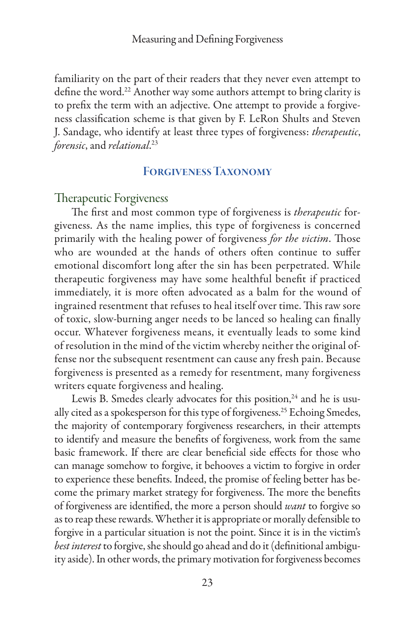familiarity on the part of their readers that they never even attempt to define the word.<sup>22</sup> Another way some authors attempt to bring clarity is to prefix the term with an adjective. One attempt to provide a forgiveness classification scheme is that given by F. LeRon Shults and Steven J. Sandage, who identify at least three types of forgiveness: *therapeutic*, *forensic*, and *relational*. 23

# Forgiveness Taxonomy

#### Therapeutic Forgiveness

The first and most common type of forgiveness is *therapeutic* forgiveness. As the name implies, this type of forgiveness is concerned primarily with the healing power of forgiveness *for the victim*. Those who are wounded at the hands of others often continue to suffer emotional discomfort long after the sin has been perpetrated. While therapeutic forgiveness may have some healthful benefit if practiced immediately, it is more often advocated as a balm for the wound of ingrained resentment that refuses to heal itself over time. This raw sore of toxic, slow-burning anger needs to be lanced so healing can finally occur. Whatever forgiveness means, it eventually leads to some kind of resolution in the mind of the victim whereby neither the original offense nor the subsequent resentment can cause any fresh pain. Because forgiveness is presented as a remedy for resentment, many forgiveness writers equate forgiveness and healing.

Lewis B. Smedes clearly advocates for this position,<sup>24</sup> and he is usually cited as a spokesperson for this type of forgiveness.<sup>25</sup> Echoing Smedes, the majority of contemporary forgiveness researchers, in their attempts to identify and measure the benefits of forgiveness, work from the same basic framework. If there are clear beneficial side effects for those who can manage somehow to forgive, it behooves a victim to forgive in order to experience these benefits. Indeed, the promise of feeling better has become the primary market strategy for forgiveness. The more the benefits of forgiveness are identified, the more a person should *want* to forgive so as to reap these rewards. Whether it is appropriate or morally defensible to forgive in a particular situation is not the point. Since it is in the victim's *best interest* to forgive, she should go ahead and do it (definitional ambiguity aside). In other words, the primary motivation for forgiveness becomes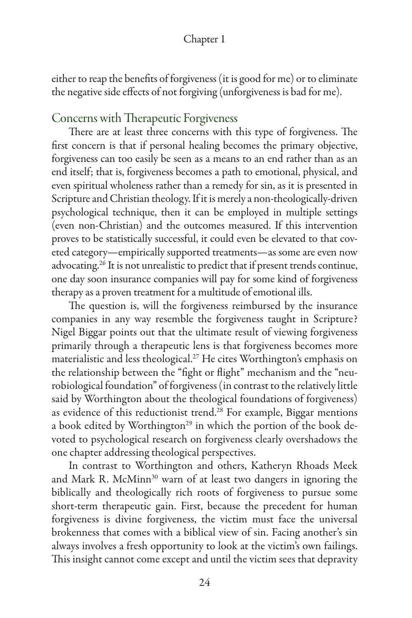either to reap the benefits of forgiveness (it is good for me) or to eliminate the negative side effects of not forgiving (unforgiveness is bad for me).

# Concerns with Therapeutic Forgiveness

There are at least three concerns with this type of forgiveness. The first concern is that if personal healing becomes the primary objective, forgiveness can too easily be seen as a means to an end rather than as an end itself; that is, forgiveness becomes a path to emotional, physical, and even spiritual wholeness rather than a remedy for sin, as it is presented in Scripture and Christian theology. If it is merely a non-theologically-driven psychological technique, then it can be employed in multiple settings (even non-Christian) and the outcomes measured. If this intervention proves to be statistically successful, it could even be elevated to that coveted category—empirically supported treatments—as some are even now advocating.<sup>26</sup> It is not unrealistic to predict that if present trends continue, one day soon insurance companies will pay for some kind of forgiveness therapy as a proven treatment for a multitude of emotional ills.

The question is, will the forgiveness reimbursed by the insurance companies in any way resemble the forgiveness taught in Scripture? Nigel Biggar points out that the ultimate result of viewing forgiveness primarily through a therapeutic lens is that forgiveness becomes more materialistic and less theological.27 He cites Worthington's emphasis on the relationship between the "fight or flight" mechanism and the "neurobiological foundation" of forgiveness (in contrast to the relatively little said by Worthington about the theological foundations of forgiveness) as evidence of this reductionist trend.<sup>28</sup> For example, Biggar mentions a book edited by Worthington<sup>29</sup> in which the portion of the book devoted to psychological research on forgiveness clearly overshadows the one chapter addressing theological perspectives.

In contrast to Worthington and others, Katheryn Rhoads Meek and Mark R. McMinn<sup>30</sup> warn of at least two dangers in ignoring the biblically and theologically rich roots of forgiveness to pursue some short-term therapeutic gain. First, because the precedent for human forgiveness is divine forgiveness, the victim must face the universal brokenness that comes with a biblical view of sin. Facing another's sin always involves a fresh opportunity to look at the victim's own failings. This insight cannot come except and until the victim sees that depravity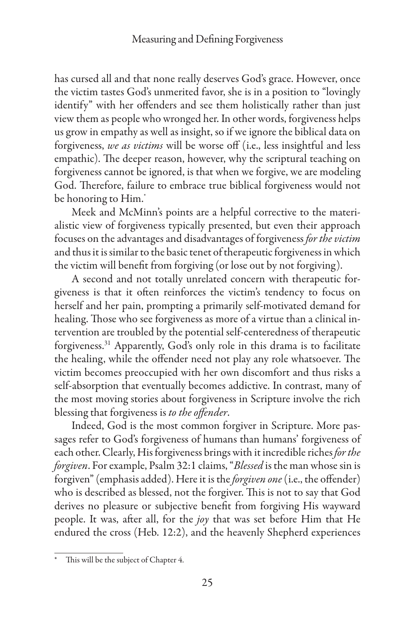has cursed all and that none really deserves God's grace. However, once the victim tastes God's unmerited favor, she is in a position to "lovingly identify" with her offenders and see them holistically rather than just view them as people who wronged her. In other words, forgiveness helps us grow in empathy as well as insight, so if we ignore the biblical data on forgiveness, *we as victims* will be worse off (i.e., less insightful and less empathic). The deeper reason, however, why the scriptural teaching on forgiveness cannot be ignored, is that when we forgive, we are modeling God. Therefore, failure to embrace true biblical forgiveness would not be honoring to Him.\*

Meek and McMinn's points are a helpful corrective to the materialistic view of forgiveness typically presented, but even their approach focuses on the advantages and disadvantages of forgiveness *for the victim* and thus it is similar to the basic tenet of therapeutic forgiveness in which the victim will benefit from forgiving (or lose out by not forgiving).

A second and not totally unrelated concern with therapeutic forgiveness is that it often reinforces the victim's tendency to focus on herself and her pain, prompting a primarily self-motivated demand for healing. Those who see forgiveness as more of a virtue than a clinical intervention are troubled by the potential self-centeredness of therapeutic forgiveness.31 Apparently, God's only role in this drama is to facilitate the healing, while the offender need not play any role whatsoever. The victim becomes preoccupied with her own discomfort and thus risks a self-absorption that eventually becomes addictive. In contrast, many of the most moving stories about forgiveness in Scripture involve the rich blessing that forgiveness is *to the offender*.

Indeed, God is the most common forgiver in Scripture. More passages refer to God's forgiveness of humans than humans' forgiveness of each other. Clearly, His forgiveness brings with it incredible riches *for the forgiven*. For example, Psalm 32:1 claims, "*Blessed* is the man whose sin is forgiven" (emphasis added). Here it is the *forgiven one* (i.e., the offender) who is described as blessed, not the forgiver. This is not to say that God derives no pleasure or subjective benefit from forgiving His wayward people. It was, after all, for the *joy* that was set before Him that He endured the cross (Heb. 12:2), and the heavenly Shepherd experiences

This will be the subject of Chapter 4.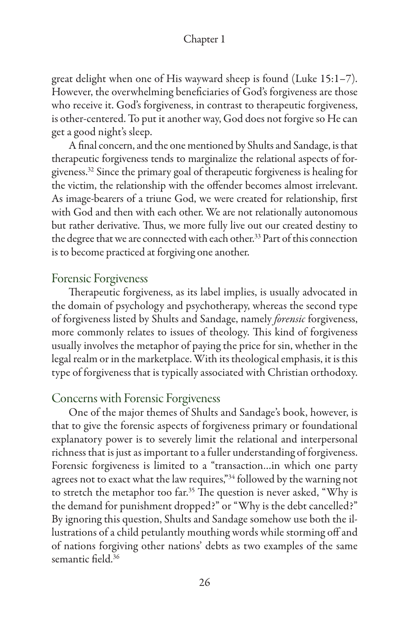great delight when one of His wayward sheep is found (Luke 15:1–7). However, the overwhelming beneficiaries of God's forgiveness are those who receive it. God's forgiveness, in contrast to therapeutic forgiveness, is other-centered. To put it another way, God does not forgive so He can get a good night's sleep.

A final concern, and the one mentioned by Shults and Sandage, is that therapeutic forgiveness tends to marginalize the relational aspects of forgiveness.32 Since the primary goal of therapeutic forgiveness is healing for the victim, the relationship with the offender becomes almost irrelevant. As image-bearers of a triune God, we were created for relationship, first with God and then with each other. We are not relationally autonomous but rather derivative. Thus, we more fully live out our created destiny to the degree that we are connected with each other.<sup>33</sup> Part of this connection is to become practiced at forgiving one another.

## Forensic Forgiveness

Therapeutic forgiveness, as its label implies, is usually advocated in the domain of psychology and psychotherapy, whereas the second type of forgiveness listed by Shults and Sandage, namely *forensic* forgiveness, more commonly relates to issues of theology. This kind of forgiveness usually involves the metaphor of paying the price for sin, whether in the legal realm or in the marketplace. With its theological emphasis, it is this type of forgiveness that is typically associated with Christian orthodoxy.

## Concerns with Forensic Forgiveness

One of the major themes of Shults and Sandage's book, however, is that to give the forensic aspects of forgiveness primary or foundational explanatory power is to severely limit the relational and interpersonal richness that is just as important to a fuller understanding of forgiveness. Forensic forgiveness is limited to a "transaction…in which one party agrees not to exact what the law requires,"<sup>34</sup> followed by the warning not to stretch the metaphor too far.<sup>35</sup> The question is never asked, "Why is the demand for punishment dropped?" or "Why is the debt cancelled?" By ignoring this question, Shults and Sandage somehow use both the illustrations of a child petulantly mouthing words while storming off and of nations forgiving other nations' debts as two examples of the same semantic field.<sup>36</sup>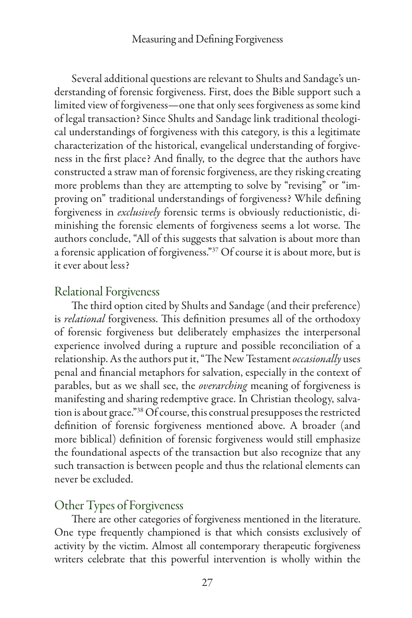Several additional questions are relevant to Shults and Sandage's understanding of forensic forgiveness. First, does the Bible support such a limited view of forgiveness—one that only sees forgiveness as some kind of legal transaction? Since Shults and Sandage link traditional theological understandings of forgiveness with this category, is this a legitimate characterization of the historical, evangelical understanding of forgiveness in the first place? And finally, to the degree that the authors have constructed a straw man of forensic forgiveness, are they risking creating more problems than they are attempting to solve by "revising" or "improving on" traditional understandings of forgiveness? While defining forgiveness in *exclusively* forensic terms is obviously reductionistic, diminishing the forensic elements of forgiveness seems a lot worse. The authors conclude, "All of this suggests that salvation is about more than a forensic application of forgiveness."<sup>37</sup> Of course it is about more, but is it ever about less?

# Relational Forgiveness

The third option cited by Shults and Sandage (and their preference) is *relational* forgiveness. This definition presumes all of the orthodoxy of forensic forgiveness but deliberately emphasizes the interpersonal experience involved during a rupture and possible reconciliation of a relationship. As the authors put it, "The New Testament *occasionally* uses penal and financial metaphors for salvation, especially in the context of parables, but as we shall see, the *overarching* meaning of forgiveness is manifesting and sharing redemptive grace. In Christian theology, salvation is about grace."38 Of course, this construal presupposes the restricted definition of forensic forgiveness mentioned above. A broader (and more biblical) definition of forensic forgiveness would still emphasize the foundational aspects of the transaction but also recognize that any such transaction is between people and thus the relational elements can never be excluded.

## Other Types of Forgiveness

There are other categories of forgiveness mentioned in the literature. One type frequently championed is that which consists exclusively of activity by the victim. Almost all contemporary therapeutic forgiveness writers celebrate that this powerful intervention is wholly within the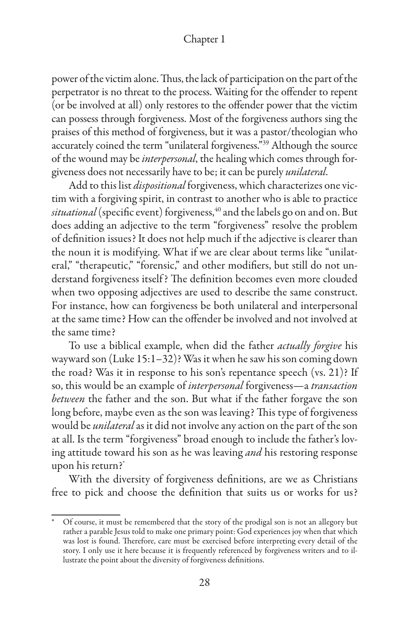power of the victim alone. Thus, the lack of participation on the part of the perpetrator is no threat to the process. Waiting for the offender to repent (or be involved at all) only restores to the offender power that the victim can possess through forgiveness. Most of the forgiveness authors sing the praises of this method of forgiveness, but it was a pastor/theologian who accurately coined the term "unilateral forgiveness."<sup>39</sup> Although the source of the wound may be *interpersonal*, the healing which comes through forgiveness does not necessarily have to be; it can be purely *unilateral*.

Add to this list *dispositional* forgiveness, which characterizes one victim with a forgiving spirit, in contrast to another who is able to practice situational (specific event) forgiveness,<sup>40</sup> and the labels go on and on. But does adding an adjective to the term "forgiveness" resolve the problem of definition issues? It does not help much if the adjective is clearer than the noun it is modifying. What if we are clear about terms like "unilateral," "therapeutic," "forensic," and other modifiers, but still do not understand forgiveness itself ? The definition becomes even more clouded when two opposing adjectives are used to describe the same construct. For instance, how can forgiveness be both unilateral and interpersonal at the same time? How can the offender be involved and not involved at the same time?

To use a biblical example, when did the father *actually forgive* his wayward son (Luke 15:1–32)? Was it when he saw his son coming down the road? Was it in response to his son's repentance speech (vs. 21)? If so, this would be an example of *interpersonal* forgiveness—a *transaction between* the father and the son. But what if the father forgave the son long before, maybe even as the son was leaving? This type of forgiveness would be *unilateral* as it did not involve any action on the part of the son at all. Is the term "forgiveness" broad enough to include the father's loving attitude toward his son as he was leaving *and* his restoring response upon his return?\*

With the diversity of forgiveness definitions, are we as Christians free to pick and choose the definition that suits us or works for us?

<sup>\*</sup> Of course, it must be remembered that the story of the prodigal son is not an allegory but rather a parable Jesus told to make one primary point: God experiences joy when that which was lost is found. Therefore, care must be exercised before interpreting every detail of the story. I only use it here because it is frequently referenced by forgiveness writers and to illustrate the point about the diversity of forgiveness definitions.